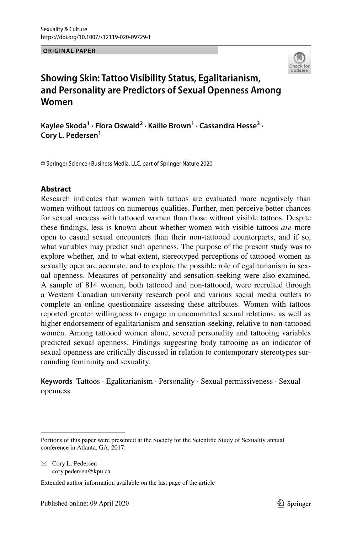**ORIGINAL PAPER**



# **Showing Skin: Tattoo Visibility Status, Egalitarianism, and Personality are Predictors of Sexual Openness Among Women**

**Kaylee Skoda<sup>1</sup> · Flora Oswald<sup>2</sup> · Kailie Brown<sup>1</sup> · Cassandra Hesse<sup>3</sup> · Cory L. Pedersen<sup>1</sup>**

© Springer Science+Business Media, LLC, part of Springer Nature 2020

#### **Abstract**

Research indicates that women with tattoos are evaluated more negatively than women without tattoos on numerous qualities. Further, men perceive better chances for sexual success with tattooed women than those without visible tattoos. Despite these findings, less is known about whether women with visible tattoos *are* more open to casual sexual encounters than their non-tattooed counterparts, and if so, what variables may predict such openness. The purpose of the present study was to explore whether, and to what extent, stereotyped perceptions of tattooed women as sexually open are accurate, and to explore the possible role of egalitarianism in sexual openness. Measures of personality and sensation-seeking were also examined. A sample of 814 women, both tattooed and non-tattooed, were recruited through a Western Canadian university research pool and various social media outlets to complete an online questionnaire assessing these attributes. Women with tattoos reported greater willingness to engage in uncommitted sexual relations, as well as higher endorsement of egalitarianism and sensation-seeking, relative to non-tattooed women. Among tattooed women alone, several personality and tattooing variables predicted sexual openness. Findings suggesting body tattooing as an indicator of sexual openness are critically discussed in relation to contemporary stereotypes surrounding femininity and sexuality.

**Keywords** Tattoos · Egalitarianism · Personality · Sexual permissiveness · Sexual openness

Portions of this paper were presented at the Society for the Scientific Study of Sexuality annual conference in Atlanta, GA, 2017.

 $\boxtimes$  Cory L. Pedersen cory.pedersen@kpu.ca

Extended author information available on the last page of the article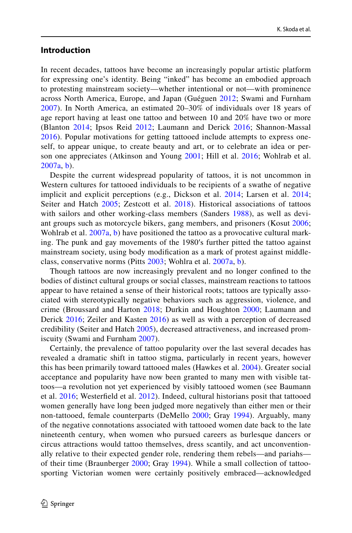#### **Introduction**

In recent decades, tattoos have become an increasingly popular artistic platform for expressing one's identity. Being "inked" has become an embodied approach to protesting mainstream society—whether intentional or not—with prominence across North America, Europe, and Japan (Guéguen [2012;](#page-19-0) Swami and Furnham [2007\)](#page-20-0). In North America, an estimated 20–30% of individuals over 18 years of age report having at least one tattoo and between 10 and 20% have two or more (Blanton [2014](#page-17-0); Ipsos Reid [2012;](#page-19-1) Laumann and Derick [2016;](#page-19-2) Shannon-Massal [2016\)](#page-20-1). Popular motivations for getting tattooed include attempts to express oneself, to appear unique, to create beauty and art, or to celebrate an idea or person one appreciates (Atkinson and Young [2001](#page-17-1); Hill et al. [2016](#page-19-3); Wohlrab et al. [2007a](#page-21-0), [b\)](#page-21-1).

Despite the current widespread popularity of tattoos, it is not uncommon in Western cultures for tattooed individuals to be recipients of a swathe of negative implicit and explicit perceptions (e.g., Dickson et al. [2014;](#page-18-0) Larsen et al. [2014;](#page-19-4) Seiter and Hatch [2005;](#page-20-2) Zestcott et al. [2018](#page-21-2)). Historical associations of tattoos with sailors and other working-class members (Sanders [1988](#page-20-3)), as well as deviant groups such as motorcycle bikers, gang members, and prisoners (Kosut [2006;](#page-19-5) Wohlrab et al. [2007a,](#page-21-0) [b\)](#page-21-1) have positioned the tattoo as a provocative cultural marking. The punk and gay movements of the 1980′s further pitted the tattoo against mainstream society, using body modification as a mark of protest against middleclass, conservative norms (Pitts [2003;](#page-20-4) Wohlra et al. [2007a](#page-21-0), [b](#page-21-1)).

Though tattoos are now increasingly prevalent and no longer confined to the bodies of distinct cultural groups or social classes, mainstream reactions to tattoos appear to have retained a sense of their historical roots; tattoos are typically associated with stereotypically negative behaviors such as aggression, violence, and crime (Broussard and Harton [2018;](#page-18-1) Durkin and Houghton [2000](#page-18-2); Laumann and Derick [2016;](#page-19-2) Zeiler and Kasten [2016\)](#page-21-3) as well as with a perception of decreased credibility (Seiter and Hatch [2005](#page-20-2)), decreased attractiveness, and increased promiscuity (Swami and Furnham [2007\)](#page-20-0).

Certainly, the prevalence of tattoo popularity over the last several decades has revealed a dramatic shift in tattoo stigma, particularly in recent years, however this has been primarily toward tattooed males (Hawkes et al. [2004](#page-19-6)). Greater social acceptance and popularity have now been granted to many men with visible tattoos—a revolution not yet experienced by visibly tattooed women (see Baumann et al. [2016;](#page-17-2) Westerfield et al. [2012\)](#page-21-4). Indeed, cultural historians posit that tattooed women generally have long been judged more negatively than either men or their non-tattooed, female counterparts (DeMello [2000;](#page-18-3) Gray [1994\)](#page-18-4). Arguably, many of the negative connotations associated with tattooed women date back to the late nineteenth century, when women who pursued careers as burlesque dancers or circus attractions would tattoo themselves, dress scantily, and act unconventionally relative to their expected gender role, rendering them rebels—and pariahs of their time (Braunberger [2000;](#page-18-5) Gray [1994\)](#page-18-4). While a small collection of tattoosporting Victorian women were certainly positively embraced—acknowledged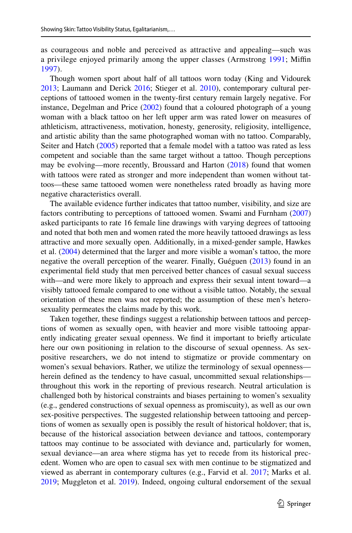as courageous and noble and perceived as attractive and appealing—such was a privilege enjoyed primarily among the upper classes (Armstrong [1991](#page-17-3); Miffin [1997\)](#page-19-7).

Though women sport about half of all tattoos worn today (King and Vidourek [2013](#page-19-8); Laumann and Derick [2016;](#page-19-2) Stieger et al. [2010\)](#page-20-5), contemporary cultural perceptions of tattooed women in the twenty-first century remain largely negative. For instance, Degelman and Price ([2002\)](#page-18-6) found that a coloured photograph of a young woman with a black tattoo on her left upper arm was rated lower on measures of athleticism, attractiveness, motivation, honesty, generosity, religiosity, intelligence, and artistic ability than the same photographed woman with no tattoo. Comparably, Seiter and Hatch ([2005\)](#page-20-2) reported that a female model with a tattoo was rated as less competent and sociable than the same target without a tattoo. Though perceptions may be evolving—more recently, Broussard and Harton [\(2018](#page-18-1)) found that women with tattoos were rated as stronger and more independent than women without tattoos—these same tattooed women were nonetheless rated broadly as having more negative characteristics overall.

The available evidence further indicates that tattoo number, visibility, and size are factors contributing to perceptions of tattooed women. Swami and Furnham [\(2007](#page-20-0)) asked participants to rate 16 female line drawings with varying degrees of tattooing and noted that both men and women rated the more heavily tattooed drawings as less attractive and more sexually open. Additionally, in a mixed-gender sample, Hawkes et al. ([2004\)](#page-19-6) determined that the larger and more visible a woman's tattoo, the more negative the overall perception of the wearer. Finally, Guéguen ([2013\)](#page-19-9) found in an experimental field study that men perceived better chances of casual sexual success with—and were more likely to approach and express their sexual intent toward—a visibly tattooed female compared to one without a visible tattoo. Notably, the sexual orientation of these men was not reported; the assumption of these men's heterosexuality permeates the claims made by this work.

Taken together, these findings suggest a relationship between tattoos and perceptions of women as sexually open, with heavier and more visible tattooing apparently indicating greater sexual openness. We find it important to briefly articulate here our own positioning in relation to the discourse of sexual openness. As sexpositive researchers, we do not intend to stigmatize or provide commentary on women's sexual behaviors. Rather, we utilize the terminology of sexual openness herein defined as the tendency to have casual, uncommitted sexual relationships throughout this work in the reporting of previous research. Neutral articulation is challenged both by historical constraints and biases pertaining to women's sexuality (e.g., gendered constructions of sexual openness as promiscuity), as well as our own sex-positive perspectives. The suggested relationship between tattooing and perceptions of women as sexually open is possibly the result of historical holdover; that is, because of the historical association between deviance and tattoos, contemporary tattoos may continue to be associated with deviance and, particularly for women, sexual deviance—an area where stigma has yet to recede from its historical precedent. Women who are open to casual sex with men continue to be stigmatized and viewed as aberrant in contemporary cultures (e.g., Farvid et al. [2017](#page-18-7); Marks et al. [2019](#page-19-10); Muggleton et al. [2019](#page-19-11)). Indeed, ongoing cultural endorsement of the sexual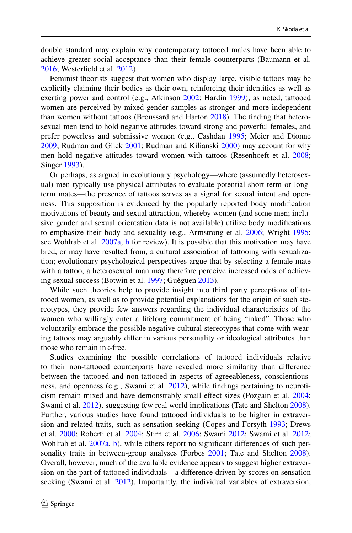double standard may explain why contemporary tattooed males have been able to achieve greater social acceptance than their female counterparts (Baumann et al. [2016](#page-17-2); Westerfield et al. [2012](#page-21-4)).

Feminist theorists suggest that women who display large, visible tattoos may be explicitly claiming their bodies as their own, reinforcing their identities as well as exerting power and control (e.g., Atkinson [2002;](#page-17-4) Hardin [1999](#page-19-12)); as noted, tattooed women are perceived by mixed-gender samples as stronger and more independent than women without tattoos (Broussard and Harton [2018\)](#page-18-1). The finding that heterosexual men tend to hold negative attitudes toward strong and powerful females, and prefer powerless and submissive women (e.g., Cashdan [1995](#page-18-8); Meier and Dionne [2009](#page-19-13); Rudman and Glick [2001](#page-20-6); Rudman and Kilianski [2000](#page-20-7)) may account for why men hold negative attitudes toward women with tattoos (Resenhoeft et al. [2008;](#page-20-8) Singer [1993](#page-20-9)).

Or perhaps, as argued in evolutionary psychology—where (assumedly heterosexual) men typically use physical attributes to evaluate potential short-term or longterm mates—the presence of tattoos serves as a signal for sexual intent and openness. This supposition is evidenced by the popularly reported body modification motivations of beauty and sexual attraction, whereby women (and some men; inclusive gender and sexual orientation data is not available) utilize body modifications to emphasize their body and sexuality (e.g., Armstrong et al. [2006](#page-17-5); Wright [1995;](#page-21-5) see Wohlrab et al. [2007a](#page-21-0), [b](#page-21-1) for review). It is possible that this motivation may have bred, or may have resulted from, a cultural association of tattooing with sexualization; evolutionary psychological perspectives argue that by selecting a female mate with a tattoo, a heterosexual man may therefore perceive increased odds of achieving sexual success (Botwin et al. [1997;](#page-18-9) Guéguen [2013\)](#page-19-9).

While such theories help to provide insight into third party perceptions of tattooed women, as well as to provide potential explanations for the origin of such stereotypes, they provide few answers regarding the individual characteristics of the women who willingly enter a lifelong commitment of being "inked". Those who voluntarily embrace the possible negative cultural stereotypes that come with wearing tattoos may arguably differ in various personality or ideological attributes than those who remain ink-free.

Studies examining the possible correlations of tattooed individuals relative to their non-tattooed counterparts have revealed more similarity than difference between the tattooed and non-tattooed in aspects of agreeableness, conscientiousness, and openness (e.g., Swami et al. [2012\)](#page-21-6), while findings pertaining to neuroticism remain mixed and have demonstrably small effect sizes (Pozgain et al. [2004;](#page-20-10) Swami et al. [2012](#page-21-6)), suggesting few real world implications (Tate and Shelton [2008\)](#page-21-7). Further, various studies have found tattooed individuals to be higher in extraversion and related traits, such as sensation-seeking (Copes and Forsyth [1993;](#page-18-10) Drews et al. [2000](#page-18-11); Roberti et al. [2004;](#page-20-11) Stirn et al. [2006;](#page-20-12) Swami [2012;](#page-20-13) Swami et al. [2012;](#page-21-6) Wohlrab et al. [2007a,](#page-21-0) [b](#page-21-1)), while others report no significant differences of such per-sonality traits in between-group analyses (Forbes [2001](#page-18-12); Tate and Shelton [2008\)](#page-21-7). Overall, however, much of the available evidence appears to suggest higher extraversion on the part of tattooed individuals—a difference driven by scores on sensation seeking (Swami et al. [2012](#page-21-6)). Importantly, the individual variables of extraversion,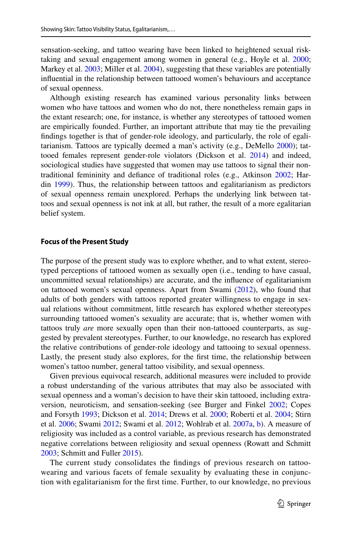sensation-seeking, and tattoo wearing have been linked to heightened sexual risktaking and sexual engagement among women in general (e.g., Hoyle et al. [2000;](#page-19-14) Markey et al. [2003;](#page-19-15) Miller et al. [2004\)](#page-19-16), suggesting that these variables are potentially influential in the relationship between tattooed women's behaviours and acceptance of sexual openness.

Although existing research has examined various personality links between women who have tattoos and women who do not, there nonetheless remain gaps in the extant research; one, for instance, is whether any stereotypes of tattooed women are empirically founded. Further, an important attribute that may tie the prevailing findings together is that of gender-role ideology, and particularly, the role of egalitarianism. Tattoos are typically deemed a man's activity (e.g., DeMello [2000\)](#page-18-3); tattooed females represent gender-role violators (Dickson et al. [2014](#page-18-0)) and indeed, sociological studies have suggested that women may use tattoos to signal their nontraditional femininity and defiance of traditional roles (e.g., Atkinson [2002](#page-17-4); Hardin [1999\)](#page-19-12). Thus, the relationship between tattoos and egalitarianism as predictors of sexual openness remain unexplored. Perhaps the underlying link between tattoos and sexual openness is not ink at all, but rather, the result of a more egalitarian belief system.

#### **Focus of the Present Study**

The purpose of the present study was to explore whether, and to what extent, stereotyped perceptions of tattooed women as sexually open (i.e., tending to have casual, uncommitted sexual relationships) are accurate, and the influence of egalitarianism on tattooed women's sexual openness. Apart from Swami [\(2012](#page-20-13)), who found that adults of both genders with tattoos reported greater willingness to engage in sexual relations without commitment, little research has explored whether stereotypes surrounding tattooed women's sexuality are accurate; that is, whether women with tattoos truly *are* more sexually open than their non-tattooed counterparts, as suggested by prevalent stereotypes. Further, to our knowledge, no research has explored the relative contributions of gender-role ideology and tattooing to sexual openness. Lastly, the present study also explores, for the first time, the relationship between women's tattoo number, general tattoo visibility, and sexual openness.

Given previous equivocal research, additional measures were included to provide a robust understanding of the various attributes that may also be associated with sexual openness and a woman's decision to have their skin tattooed, including extraversion, neuroticism, and sensation-seeking (see Burger and Finkel [2002](#page-18-13); Copes and Forsyth [1993;](#page-18-10) Dickson et al. [2014;](#page-18-0) Drews et al. [2000](#page-18-11); Roberti et al. [2004](#page-20-11); Stirn et al. [2006](#page-20-12); Swami [2012;](#page-20-13) Swami et al. [2012;](#page-21-6) Wohlrab et al. [2007a,](#page-21-0) [b\)](#page-21-1). A measure of religiosity was included as a control variable, as previous research has demonstrated negative correlations between religiosity and sexual openness (Rowatt and Schmitt [2003](#page-20-14); Schmitt and Fuller [2015](#page-20-15)).

The current study consolidates the findings of previous research on tattoowearing and various facets of female sexuality by evaluating these in conjunction with egalitarianism for the first time. Further, to our knowledge, no previous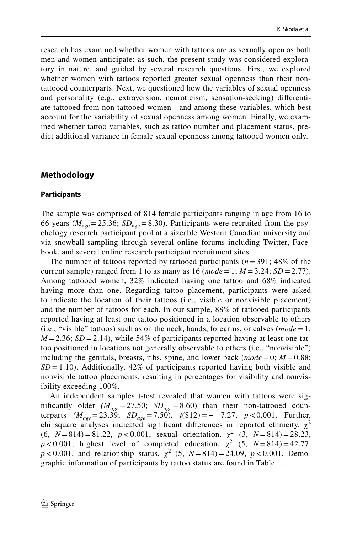research has examined whether women with tattoos are as sexually open as both men and women anticipate; as such, the present study was considered exploratory in nature, and guided by several research questions. First, we explored whether women with tattoos reported greater sexual openness than their nontattooed counterparts. Next, we questioned how the variables of sexual openness and personality (e.g., extraversion, neuroticism, sensation-seeking) differentiate tattooed from non-tattooed women—and among these variables, which best account for the variability of sexual openness among women. Finally, we examined whether tattoo variables, such as tattoo number and placement status, predict additional variance in female sexual openness among tattooed women only.

## **Methodology**

#### **Participants**

The sample was comprised of 814 female participants ranging in age from 16 to 66 years ( $M_{\text{age}} = 25.36$ ;  $SD_{\text{age}} = 8.30$ ). Participants were recruited from the psychology research participant pool at a sizeable Western Canadian university and via snowball sampling through several online forums including Twitter, Facebook, and several online research participant recruitment sites.

The number of tattoos reported by tattooed participants  $(n=391; 48\%)$  of the current sample) ranged from 1 to as many as  $16 \text{ (mode} = 1; M = 3.24; SD = 2.77)$ . Among tattooed women, 32% indicated having one tattoo and 68% indicated having more than one. Regarding tattoo placement, participants were asked to indicate the location of their tattoos (i.e., visible or nonvisible placement) and the number of tattoos for each. In our sample, 88% of tattooed participants reported having at least one tattoo positioned in a location observable to others  $(i.e., "visible" tattoos) such as on the neck, hands, forearms, or calves (*mode* = 1;$  $M = 2.36$ ;  $SD = 2.14$ ), while 54% of participants reported having at least one tattoo positioned in locations not generally observable to others (i.e., "nonvisible") including the genitals, breasts, ribs, spine, and lower back ( $mode = 0$ ;  $M = 0.88$ ;  $SD = 1.10$ ). Additionally, 42% of participants reported having both visible and nonvisible tattoo placements, resulting in percentages for visibility and nonvisibility exceeding 100%.

An independent samples t-test revealed that women with tattoos were significantly older  $(M_{age} = 27.50; SD_{age} = 8.60)$  than their non-tattooed counterparts  $(M_{\text{age}} = 23.39; SD_{\text{age}} = 7.50)$ ,  $t(812) = -7.27$ ,  $p < 0.001$ . Further, chi square analyses indicated significant differences in reported ethnicity,  $\chi^2$ (6,  $N = 814$ ) = 81.22,  $p < 0.001$ , sexual orientation,  $\chi^2$  (3,  $N = 814$ ) = 28.23,  $p < 0.001$ , highest level of completed education,  $\chi^2$  (5,  $N = 814$ ) = 42.77,  $p < 0.001$ , and relationship status,  $\chi^2$  (5,  $N = 814$ ) = 24.09,  $p < 0.001$ . Demographic information of participants by tattoo status are found in Table [1](#page-6-0).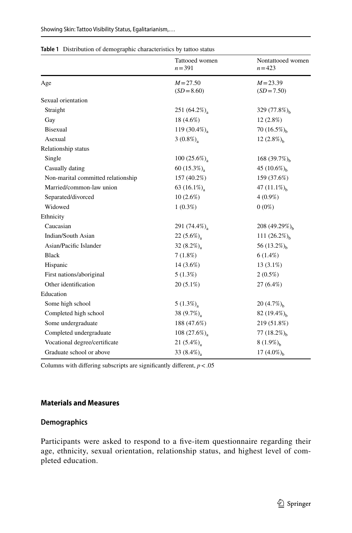|                                    | Tattooed women<br>$n = 391$  | Nontattooed women<br>$n = 423$ |
|------------------------------------|------------------------------|--------------------------------|
| Age                                | $M = 27.50$<br>$(SD = 8.60)$ | $M = 23.39$<br>$(SD = 7.50)$   |
| Sexual orientation                 |                              |                                |
| Straight                           | $251(64.2\%)$                | 329 $(77.8\%)_h$               |
| Gay                                | 18 (4.6%)                    | $12(2.8\%)$                    |
| <b>Bisexual</b>                    | 119 $(30.4\%)$               | $70(16.5\%)_h$                 |
| Asexual                            | $3(0.8\%)$                   | $12(2.8\%)_h$                  |
| Relationship status                |                              |                                |
| Single                             | $100(25.6\%)$                | 168 $(39.7\%)_h$               |
| Casually dating                    | $60(15.3\%)$                 | 45 $(10.6\%)_h$                |
| Non-marital committed relationship | 157 (40.2%)                  | 159 (37.6%)                    |
| Married/common-law union           | 63 $(16.1\%)$                | 47 $(11.1\%)_{h}$              |
| Separated/divorced                 | $10(2.6\%)$                  | $4(0.9\%)$                     |
| Widowed                            | $1(0.3\%)$                   | $0(0\%)$                       |
| Ethnicity                          |                              |                                |
| Caucasian                          | 291 (74.4%).                 | $208(49.29\%)_{h}$             |
| <b>Indian/South Asian</b>          | $22(5.6\%)$                  | 111 $(26.2\%)_h$               |
| Asian/Pacific Islander             | $32(8.2\%)$                  | 56 $(13.2\%)_h$                |
| <b>Black</b>                       | 7(1.8%)                      | $6(1.4\%)$                     |
| Hispanic                           | 14 (3.6%)                    | $13(3.1\%)$                    |
| First nations/aboriginal           | $5(1.3\%)$                   | $2(0.5\%)$                     |
| Other identification               | $20(5.1\%)$                  | $27(6.4\%)$                    |
| Education                          |                              |                                |
| Some high school                   | $5(1.3\%)$ <sub>a</sub>      | $20(4.7\%)_{h}$                |
| Completed high school              | 38 $(9.7\%)$ <sub>3</sub>    | 82 $(19.4\%)_h$                |
| Some undergraduate                 | 188 (47.6%)                  | 219 (51.8%)                    |
| Completed undergraduate            | $108(27.6\%)$                | 77 $(18.2\%)$ <sub>h</sub>     |
| Vocational degree/certificate      | $21(5.4\%)$                  | $8(1.9\%)_h$                   |
| Graduate school or above           | 33 $(8.4\%)$                 | 17 $(4.0\%)$                   |

<span id="page-6-0"></span>

Columns with differing subscripts are significantly different,  $p < .05$ 

### **Materials and Measures**

### **Demographics**

Participants were asked to respond to a five-item questionnaire regarding their age, ethnicity, sexual orientation, relationship status, and highest level of completed education.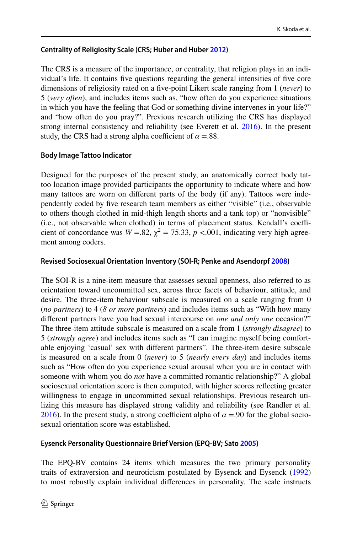# **Centrality of Religiosity Scale (CRS; Huber and Huber [2012](#page-19-17))**

The CRS is a measure of the importance, or centrality, that religion plays in an individual's life. It contains five questions regarding the general intensities of five core dimensions of religiosity rated on a five-point Likert scale ranging from 1 (*never*) to 5 (*very often*), and includes items such as, "how often do you experience situations in which you have the feeling that God or something divine intervenes in your life?" and "how often do you pray?". Previous research utilizing the CRS has displayed strong internal consistency and reliability (see Everett et al. [2016\)](#page-18-14). In the present study, the CRS had a strong alpha coefficient of  $\alpha = .88$ .

# **Body Image Tattoo Indicator**

Designed for the purposes of the present study, an anatomically correct body tattoo location image provided participants the opportunity to indicate where and how many tattoos are worn on different parts of the body (if any). Tattoos were independently coded by five research team members as either "visible" (i.e., observable to others though clothed in mid-thigh length shorts and a tank top) or "nonvisible" (i.e., not observable when clothed) in terms of placement status. Kendall's coefficient of concordance was  $W = 0.82$ ,  $\chi^2 = 75.33$ ,  $p < 0.001$ , indicating very high agreement among coders.

#### **Revised Sociosexual Orientation Inventory (SOI‑R; Penke and Asendorpf [2008\)](#page-20-16)**

The SOI-R is a nine-item measure that assesses sexual openness, also referred to as orientation toward uncommitted sex, across three facets of behaviour, attitude, and desire. The three-item behaviour subscale is measured on a scale ranging from 0 (*no partners*) to 4 (*8 or more partners*) and includes items such as "With how many different partners have you had sexual intercourse on *one and only one* occasion?" The three-item attitude subscale is measured on a scale from 1 (*strongly disagree*) to 5 (*strongly agree*) and includes items such as "I can imagine myself being comfortable enjoying 'casual' sex with different partners". The three-item desire subscale is measured on a scale from 0 (*never*) to 5 (*nearly every day*) and includes items such as "How often do you experience sexual arousal when you are in contact with someone with whom you do *not* have a committed romantic relationship?" A global sociosexual orientation score is then computed, with higher scores reflecting greater willingness to engage in uncommitted sexual relationships. Previous research utilizing this measure has displayed strong validity and reliability (see Randler et al. [2016](#page-20-17)). In the present study, a strong coefficient alpha of  $\alpha = 90$  for the global sociosexual orientation score was established.

# **Eysenck Personality Questionnaire Brief Version (EPQ‑BV; Sato [2005](#page-20-18))**

The EPQ-BV contains 24 items which measures the two primary personality traits of extraversion and neuroticism postulated by Eysenck and Eysenck [\(1992](#page-18-15)) to most robustly explain individual differences in personality. The scale instructs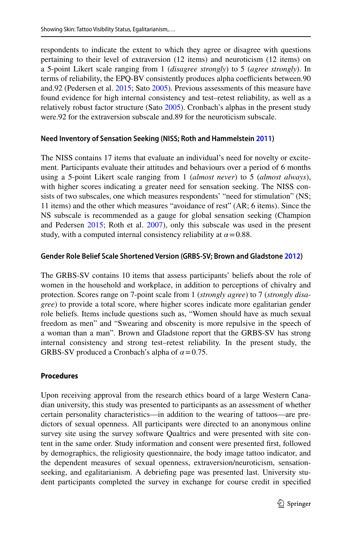respondents to indicate the extent to which they agree or disagree with questions pertaining to their level of extraversion (12 items) and neuroticism (12 items) on a 5-point Likert scale ranging from 1 (*disagree strongly*) to 5 (*agree strongly*). In terms of reliability, the EPQ-BV consistently produces alpha coefficients between.90 and.92 (Pedersen et al. [2015](#page-19-18); Sato [2005\)](#page-20-18). Previous assessments of this measure have found evidence for high internal consistency and test–retest reliability, as well as a relatively robust factor structure (Sato [2005\)](#page-20-18). Cronbach's alphas in the present study were.92 for the extraversion subscale and.89 for the neuroticism subscale.

#### **Need Inventory of Sensation Seeking (NISS; Roth and Hammelstein [2011\)](#page-20-19)**

The NISS contains 17 items that evaluate an individual's need for novelty or excitement. Participants evaluate their attitudes and behaviours over a period of 6 months using a 5-point Likert scale ranging from 1 (*almost never*) to 5 (*almost always*), with higher scores indicating a greater need for sensation seeking. The NISS consists of two subscales, one which measures respondents' "need for stimulation" (NS; 11 items) and the other which measures "avoidance of rest" (AR; 6 items). Since the NS subscale is recommended as a gauge for global sensation seeking (Champion and Pedersen [2015](#page-18-16); Roth et al. [2007](#page-20-20)), only this subscale was used in the present study, with a computed internal consistency reliability at  $\alpha$  = 0.88.

### **Gender Role Belief Scale Shortened Version (GRBS‑SV; Brown and Gladstone [2012](#page-18-17))**

The GRBS-SV contains 10 items that assess participants' beliefs about the role of women in the household and workplace, in addition to perceptions of chivalry and protection. Scores range on 7-point scale from 1 (*strongly agree*) to 7 (*strongly disagree*) to provide a total score, where higher scores indicate more egalitarian gender role beliefs. Items include questions such as, "Women should have as much sexual freedom as men" and "Swearing and obscenity is more repulsive in the speech of a woman than a man". Brown and Gladstone report that the GRBS-SV has strong internal consistency and strong test–retest reliability. In the present study, the GRBS-SV produced a Cronbach's alpha of  $\alpha = 0.75$ .

# **Procedures**

Upon receiving approval from the research ethics board of a large Western Canadian university, this study was presented to participants as an assessment of whether certain personality characteristics—in addition to the wearing of tattoos—are predictors of sexual openness. All participants were directed to an anonymous online survey site using the survey software Qualtrics and were presented with site content in the same order. Study information and consent were presented first, followed by demographics, the religiosity questionnaire, the body image tattoo indicator, and the dependent measures of sexual openness, extraversion/neuroticism, sensationseeking, and egalitarianism. A debriefing page was presented last. University student participants completed the survey in exchange for course credit in specified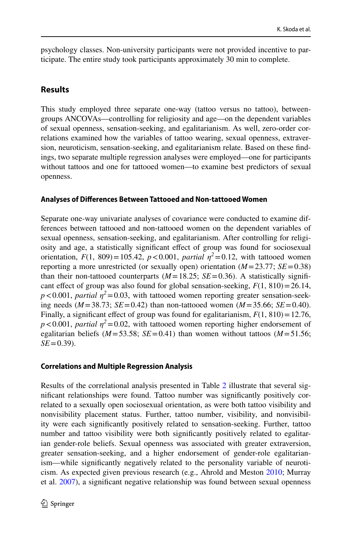psychology classes. Non-university participants were not provided incentive to participate. The entire study took participants approximately 30 min to complete.

#### **Results**

This study employed three separate one-way (tattoo versus no tattoo), betweengroups ANCOVAs—controlling for religiosity and age—on the dependent variables of sexual openness, sensation-seeking, and egalitarianism. As well, zero-order correlations examined how the variables of tattoo wearing, sexual openness, extraversion, neuroticism, sensation-seeking, and egalitarianism relate. Based on these findings, two separate multiple regression analyses were employed—one for participants without tattoos and one for tattooed women—to examine best predictors of sexual openness.

#### **Analyses of Differences Between Tattooed and Non‑tattooed Women**

Separate one-way univariate analyses of covariance were conducted to examine differences between tattooed and non-tattooed women on the dependent variables of sexual openness, sensation-seeking, and egalitarianism. After controlling for religiosity and age, a statistically significant effect of group was found for sociosexual orientation,  $F(1, 809) = 105.42$ ,  $p < 0.001$ , *partial*  $\eta^2 = 0.12$ , with tattooed women reporting a more unrestricted (or sexually open) orientation  $(M=23.77; SE=0.38)$ than their non-tattooed counterparts  $(M=18.25; SE=0.36)$ . A statistically significant effect of group was also found for global sensation-seeking,  $F(1, 810) = 26.14$ ,  $p$ <0.001, *partial*  $\eta^2$  = 0.03, with tattooed women reporting greater sensation-seeking needs  $(M = 38.73; SE = 0.42)$  than non-tattooed women  $(M = 35.66; SE = 0.40)$ . Finally, a significant effect of group was found for egalitarianism,  $F(1, 810) = 12.76$ ,  $p$ <0.001, *partial*  $\eta^2$  = 0.02, with tattooed women reporting higher endorsement of egalitarian beliefs ( $M = 53.58$ ;  $SE = 0.41$ ) than women without tattoos ( $M = 51.56$ ;  $SE = 0.39$ .

#### **Correlations and Multiple Regression Analysis**

Results of the correlational analysis presented in Table [2](#page-10-0) illustrate that several significant relationships were found. Tattoo number was significantly positively correlated to a sexually open sociosexual orientation, as were both tattoo visibility and nonvisibility placement status. Further, tattoo number, visibility, and nonvisibility were each significantly positively related to sensation-seeking. Further, tattoo number and tattoo visibility were both significantly positively related to egalitarian gender-role beliefs. Sexual openness was associated with greater extraversion, greater sensation-seeking, and a higher endorsement of gender-role egalitarianism—while significantly negatively related to the personality variable of neuroticism. As expected given previous research (e.g., Ahrold and Meston [2010](#page-17-6); Murray et al. [2007](#page-19-19)), a significant negative relationship was found between sexual openness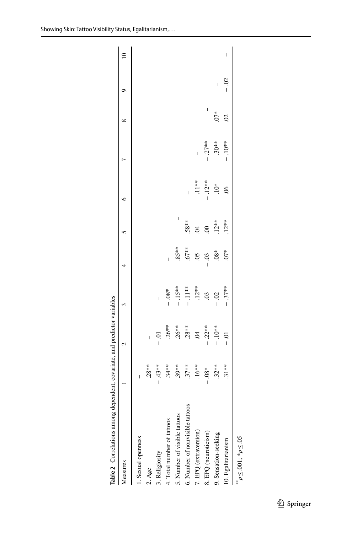| Table 2 Correlations among dependent, covariate, and predictor variables |                                 |                                                     |                                  |            |                |                           |            |                          |         |             |
|--------------------------------------------------------------------------|---------------------------------|-----------------------------------------------------|----------------------------------|------------|----------------|---------------------------|------------|--------------------------|---------|-------------|
| Measures                                                                 |                                 | $\mathbf{\sim}$                                     | 3                                |            |                | c                         |            | $\infty$                 | $\circ$ | $\supseteq$ |
| 1. Sexual openness                                                       | $\overline{1}$                  |                                                     |                                  |            |                |                           |            |                          |         |             |
| 2. Age                                                                   | $.28**$                         | I                                                   |                                  |            |                |                           |            |                          |         |             |
| 3. Religiosity                                                           | $43**$                          | $\overline{a}$                                      |                                  |            |                |                           |            |                          |         |             |
| 4. Total number of tattoos                                               |                                 |                                                     | $*80.$                           | Ï          |                |                           |            |                          |         |             |
| 5. Number of visible tattoos                                             |                                 |                                                     |                                  | $.85**$    | I              |                           |            |                          |         |             |
| 6. Number of nonvisible tattoos                                          |                                 |                                                     |                                  | $.67***$   | $.58**$        |                           |            |                          |         |             |
| 7. EPQ (extraversion)                                                    | $34**$<br>39**<br>57.**<br>54** | $26***$<br>$26***$<br>$28***$<br>$04***$<br>$03***$ | $-15***$<br>$-11***$<br>$-12***$ | 50         | Þ.             | $\prod_{i=1}^{n}$         | Ī          |                          |         |             |
| 8. EPQ (neuroticism)                                                     | $-0.08$ <sup>*</sup>            |                                                     | $03$                             | $\ddot{0}$ | $\overline{0}$ | $-.12***$                 | $- .27***$ | $\overline{\phantom{a}}$ |         |             |
| 9. Sensation-seeking                                                     | $.32***$                        |                                                     | $\ddot{\Omega}$                  | $.08*$     | $12**$         | $.10*$                    | $.30***$   | $07*$                    | I       |             |
| 10. Egalitarianism                                                       | $.31**$                         | $-0.1$                                              | $- .37***$                       | $.07*$     | $12**$         | $\widetilde{\mathcal{S}}$ | $-10**$    | $\overline{S}$           | $-0.02$ | I           |
| ** $p \le 0.001$ ; * $p \le 0.05$                                        |                                 |                                                     |                                  |            |                |                           |            |                          |         |             |

<span id="page-10-0"></span> $\underline{\textcircled{\tiny 2}}$  Springer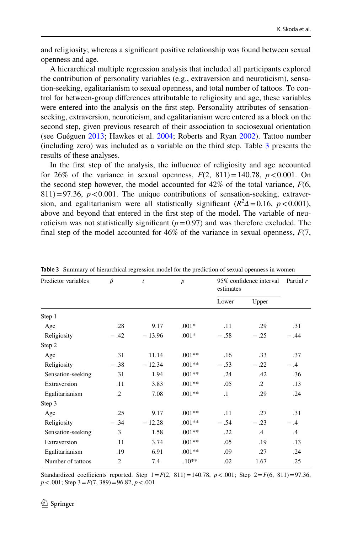and religiosity; whereas a significant positive relationship was found between sexual openness and age.

A hierarchical multiple regression analysis that included all participants explored the contribution of personality variables (e.g., extraversion and neuroticism), sensation-seeking, egalitarianism to sexual openness, and total number of tattoos. To control for between-group differences attributable to religiosity and age, these variables were entered into the analysis on the first step. Personality attributes of sensationseeking, extraversion, neuroticism, and egalitarianism were entered as a block on the second step, given previous research of their association to sociosexual orientation (see Guéguen [2013](#page-19-9); Hawkes et al. [2004;](#page-19-6) Roberts and Ryan [2002](#page-20-21)). Tattoo number (including zero) was included as a variable on the third step. Table [3](#page-11-0) presents the results of these analyses.

In the first step of the analysis, the influence of religiosity and age accounted for 26% of the variance in sexual openness,  $F(2, 811) = 140.78$ ,  $p < 0.001$ . On the second step however, the model accounted for  $42\%$  of the total variance,  $F(6)$ ,  $811$ ) = 97.36,  $p < 0.001$ . The unique contributions of sensation-seeking, extraversion, and egalitarianism were all statistically significant  $(R^2\Delta = 0.16, p < 0.001)$ , above and beyond that entered in the first step of the model. The variable of neuroticism was not statistically significant  $(p=0.97)$  and was therefore excluded. The final step of the model accounted for 46% of the variance in sexual openness, *F*(7,

| Predictor variables | $\beta$    | $\boldsymbol{t}$ | $\boldsymbol{p}$ | 95% confidence interval<br>estimates |               | Partial r     |
|---------------------|------------|------------------|------------------|--------------------------------------|---------------|---------------|
|                     |            |                  |                  | Lower                                | Upper         |               |
| Step 1              |            |                  |                  |                                      |               |               |
| Age                 | .28        | 9.17             | $.001*$          | .11                                  | .29           | .31           |
| Religiosity         | $-.42$     | $-13.96$         | $.001*$          | $-.58$                               | $-.25$        | $-.44$        |
| Step 2              |            |                  |                  |                                      |               |               |
| Age                 | .31        | 11.14            | $.001**$         | .16                                  | .33           | .37           |
| Religiosity         | $-.38$     | $-12.34$         | $.001**$         | $-.53$                               | $-.22$        | $-.4$         |
| Sensation-seeking   | .31        | 1.94             | $.001**$         | .24                                  | .42           | .36           |
| Extraversion        | .11        | 3.83             | $.001**$         | .05                                  | $\cdot$ .2    | .13           |
| Egalitarianism      | $\cdot$    | 7.08             | $.001**$         | $\cdot$ 1                            | .29           | .24           |
| Step 3              |            |                  |                  |                                      |               |               |
| Age                 | .25        | 9.17             | $.001**$         | .11                                  | .27           | .31           |
| Religiosity         | $-.34$     | $-12.28$         | $.001**$         | $-.54$                               | $-.23$        | $-.4$         |
| Sensation-seeking   | $\cdot$ 3  | 1.58             | $.001**$         | .22                                  | $\mathcal{A}$ | $\mathcal{A}$ |
| Extraversion        | .11        | 3.74             | $.001**$         | .05                                  | .19           | .13           |
| Egalitarianism      | .19        | 6.91             | $.001**$         | .09                                  | .27           | .24           |
| Number of tattoos   | $\cdot$ .2 | 7.4              | $.10**$          | .02                                  | 1.67          | .25           |

<span id="page-11-0"></span>**Table 3** Summary of hierarchical regression model for the prediction of sexual openness in women

Standardized coefficients reported. Step  $1 = F(2, 811) = 140.78$ ,  $p < .001$ ; Step  $2 = F(6, 811) = 97.36$ , *p* < .001; Step 3 = *F*(7, 389) = 96.82, *p* < .001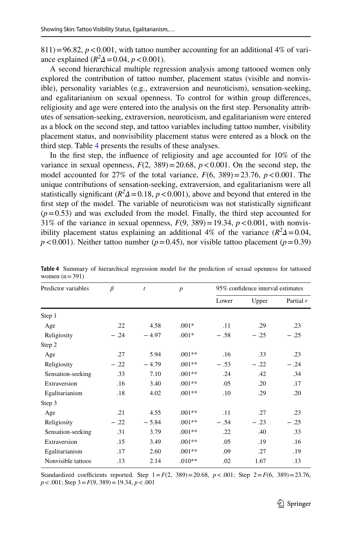$811$ ) = 96.82,  $p < 0.001$ , with tattoo number accounting for an additional 4% of variance explained  $(R^2\Delta = 0.04, p < 0.001)$ .

A second hierarchical multiple regression analysis among tattooed women only explored the contribution of tattoo number, placement status (visible and nonvisible), personality variables (e.g., extraversion and neuroticism), sensation-seeking, and egalitarianism on sexual openness. To control for within group differences, religiosity and age were entered into the analysis on the first step. Personality attributes of sensation-seeking, extraversion, neuroticism, and egalitarianism were entered as a block on the second step, and tattoo variables including tattoo number, visibility placement status, and nonvisibility placement status were entered as a block on the third step. Table [4](#page-12-0) presents the results of these analyses.

In the first step, the influence of religiosity and age accounted for 10% of the variance in sexual openness,  $F(2, 389) = 20.68$ ,  $p < 0.001$ . On the second step, the model accounted for  $27\%$  of the total variance,  $F(6, 389) = 23.76$ ,  $p < 0.001$ . The unique contributions of sensation-seeking, extraversion, and egalitarianism were all statistically significant ( $R^2\Delta$  = 0.18,  $p$  < 0.001), above and beyond that entered in the first step of the model. The variable of neuroticism was not statistically significant  $(p=0.53)$  and was excluded from the model. Finally, the third step accounted for 31% of the variance in sexual openness,  $F(9, 389) = 19.34$ ,  $p < 0.001$ , with nonvisibility placement status explaining an additional 4% of the variance  $(R^2\Delta = 0.04,$  $p$ <0.001). Neither tattoo number ( $p$ =0.45), nor visible tattoo placement ( $p$ =0.39)

| Predictor variables | $\beta$ | $\boldsymbol{t}$ | $\boldsymbol{p}$ | 95% confidence interval estimates |        |           |
|---------------------|---------|------------------|------------------|-----------------------------------|--------|-----------|
|                     |         |                  |                  | Lower                             | Upper  | Partial r |
| Step 1              |         |                  |                  |                                   |        |           |
| Age                 | .22     | 4.58             | $.001*$          | .11                               | .29    | .23       |
| Religiosity         | $-.24$  | $-4.97$          | $.001*$          | $-.58$                            | $-.25$ | $-.25$    |
| Step 2              |         |                  |                  |                                   |        |           |
| Age                 | .27     | 5.94             | $.001**$         | .16                               | .33    | .23       |
| Religiosity         | $-.22$  | $-4.79$          | $.001**$         | $-.53$                            | $-.22$ | $-.24$    |
| Sensation-seeking   | .33     | 7.10             | $.001**$         | .24                               | .42    | .34       |
| Extraversion        | .16     | 3.40             | $.001**$         | .05                               | .20    | .17       |
| Egalitarianism      | .18     | 4.02             | $.001**$         | .10                               | .29    | .20       |
| Step 3              |         |                  |                  |                                   |        |           |
| Age                 | .21     | 4.55             | $.001**$         | .11                               | .27    | .23       |
| Religiosity         | $-.22$  | $-5.84$          | $.001**$         | $-.54$                            | $-.23$ | $-.25$    |
| Sensation-seeking   | .31     | 3.79             | $.001**$         | .22                               | .40    | .33       |
| Extraversion        | .15     | 3.49             | $.001**$         | .05                               | .19    | .16       |
| Egalitarianism      | .17     | 2.60             | $.001**$         | .09                               | .27    | .19       |
| Nonvisible tattoos  | .13     | 2.14             | $.010**$         | .02                               | 1.67   | .13       |
|                     |         |                  |                  |                                   |        |           |

<span id="page-12-0"></span>**Table 4** Summary of hierarchical regression model for the prediction of sexual openness for tattooed women  $(n = 391)$ 

Standardized coefficients reported. Step  $1 = F(2, 389) = 20.68$ ,  $p < .001$ ; Step  $2 = F(6, 389) = 23.76$ , *p* < .001; Step 3 = *F*(9, 389) = 19.34, *p* < .001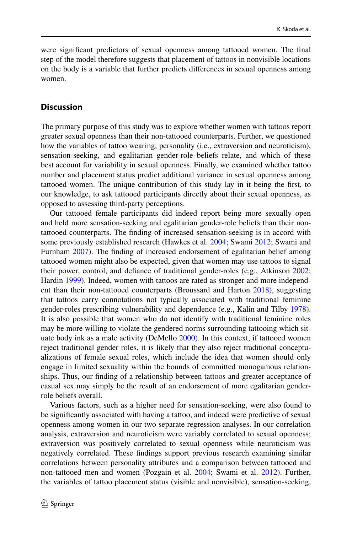were significant predictors of sexual openness among tattooed women. The final step of the model therefore suggests that placement of tattoos in nonvisible locations on the body is a variable that further predicts differences in sexual openness among women.

#### **Discussion**

The primary purpose of this study was to explore whether women with tattoos report greater sexual openness than their non-tattooed counterparts. Further, we questioned how the variables of tattoo wearing, personality (i.e., extraversion and neuroticism), sensation-seeking, and egalitarian gender-role beliefs relate, and which of these best account for variability in sexual openness. Finally, we examined whether tattoo number and placement status predict additional variance in sexual openness among tattooed women. The unique contribution of this study lay in it being the first, to our knowledge, to ask tattooed participants directly about their sexual openness, as opposed to assessing third-party perceptions.

Our tattooed female participants did indeed report being more sexually open and held more sensation-seeking and egalitarian gender-role beliefs than their nontattooed counterparts. The finding of increased sensation-seeking is in accord with some previously established research (Hawkes et al. [2004](#page-19-6); Swami [2012](#page-20-13); Swami and Furnham [2007\)](#page-20-0). The finding of increased endorsement of egalitarian belief among tattooed women might also be expected, given that women may use tattoos to signal their power, control, and defiance of traditional gender-roles (e.g., Atkinson [2002;](#page-17-4) Hardin [1999](#page-19-12)). Indeed, women with tattoos are rated as stronger and more independent than their non-tattooed counterparts (Broussard and Harton [2018](#page-18-1)), suggesting that tattoos carry connotations not typically associated with traditional feminine gender-roles prescribing vulnerability and dependence (e.g., Kalin and Tilby [1978\)](#page-19-20). It is also possible that women who do not identify with traditional feminine roles may be more willing to violate the gendered norms surrounding tattooing which sit-uate body ink as a male activity (DeMello [2000\)](#page-18-3). In this context, if tattooed women reject traditional gender roles, it is likely that they also reject traditional conceptualizations of female sexual roles, which include the idea that women should only engage in limited sexuality within the bounds of committed monogamous relationships. Thus, our finding of a relationship between tattoos and greater acceptance of casual sex may simply be the result of an endorsement of more egalitarian genderrole beliefs overall.

Various factors, such as a higher need for sensation-seeking, were also found to be significantly associated with having a tattoo, and indeed were predictive of sexual openness among women in our two separate regression analyses. In our correlation analysis, extraversion and neuroticism were variably correlated to sexual openness; extraversion was positively correlated to sexual openness while neuroticism was negatively correlated. These findings support previous research examining similar correlations between personality attributes and a comparison between tattooed and non-tattooed men and women (Pozgain et al. [2004](#page-20-10); Swami et al. [2012](#page-21-6)). Further, the variables of tattoo placement status (visible and nonvisible), sensation-seeking,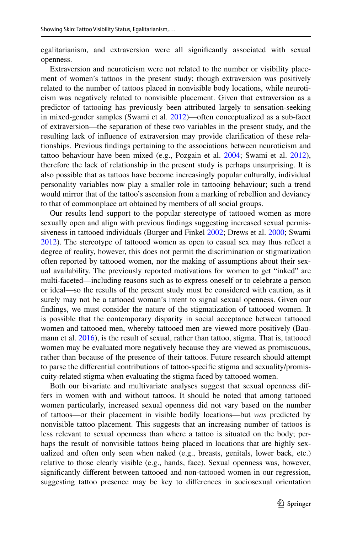egalitarianism, and extraversion were all significantly associated with sexual openness.

Extraversion and neuroticism were not related to the number or visibility placement of women's tattoos in the present study; though extraversion was positively related to the number of tattoos placed in nonvisible body locations, while neuroticism was negatively related to nonvisible placement. Given that extraversion as a predictor of tattooing has previously been attributed largely to sensation-seeking in mixed-gender samples (Swami et al. [2012\)](#page-21-6)—often conceptualized as a sub-facet of extraversion—the separation of these two variables in the present study, and the resulting lack of influence of extraversion may provide clarification of these relationships. Previous findings pertaining to the associations between neuroticism and tattoo behaviour have been mixed (e.g., Pozgain et al. [2004;](#page-20-10) Swami et al. [2012\)](#page-21-6), therefore the lack of relationship in the present study is perhaps unsurprising. It is also possible that as tattoos have become increasingly popular culturally, individual personality variables now play a smaller role in tattooing behaviour; such a trend would mirror that of the tattoo's ascension from a marking of rebellion and deviancy to that of commonplace art obtained by members of all social groups.

Our results lend support to the popular stereotype of tattooed women as more sexually open and align with previous findings suggesting increased sexual permissiveness in tattooed individuals (Burger and Finkel [2002;](#page-18-13) Drews et al. [2000](#page-18-11); Swami [2012](#page-20-13)). The stereotype of tattooed women as open to casual sex may thus reflect a degree of reality, however, this does not permit the discrimination or stigmatization often reported by tattooed women, nor the making of assumptions about their sexual availability. The previously reported motivations for women to get "inked" are multi-faceted—including reasons such as to express oneself or to celebrate a person or ideal—so the results of the present study must be considered with caution, as it surely may not be a tattooed woman's intent to signal sexual openness. Given our findings, we must consider the nature of the stigmatization of tattooed women. It is possible that the contemporary disparity in social acceptance between tattooed women and tattooed men, whereby tattooed men are viewed more positively (Bau-mann et al. [2016](#page-17-2)), is the result of sexual, rather than tattoo, stigma. That is, tattooed women may be evaluated more negatively because they are viewed as promiscuous, rather than because of the presence of their tattoos. Future research should attempt to parse the differential contributions of tattoo-specific stigma and sexuality/promiscuity-related stigma when evaluating the stigma faced by tattooed women.

Both our bivariate and multivariate analyses suggest that sexual openness differs in women with and without tattoos. It should be noted that among tattooed women particularly, increased sexual openness did not vary based on the number of tattoos—or their placement in visible bodily locations—but *was* predicted by nonvisible tattoo placement. This suggests that an increasing number of tattoos is less relevant to sexual openness than where a tattoo is situated on the body; perhaps the result of nonvisible tattoos being placed in locations that are highly sexualized and often only seen when naked (e.g., breasts, genitals, lower back, etc.) relative to those clearly visible (e.g., hands, face). Sexual openness was, however, significantly different between tattooed and non-tattooed women in our regression, suggesting tattoo presence may be key to differences in sociosexual orientation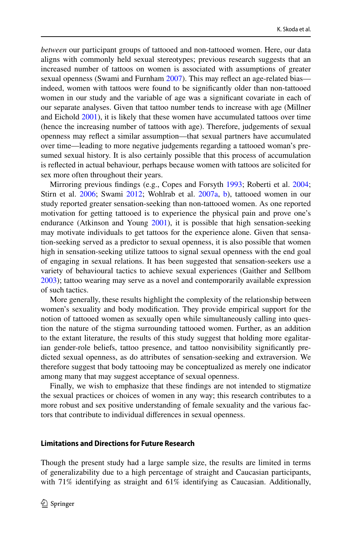*between* our participant groups of tattooed and non-tattooed women. Here, our data aligns with commonly held sexual stereotypes; previous research suggests that an increased number of tattoos on women is associated with assumptions of greater sexual openness (Swami and Furnham [2007\)](#page-20-0). This may reflect an age-related bias indeed, women with tattoos were found to be significantly older than non-tattooed women in our study and the variable of age was a significant covariate in each of our separate analyses. Given that tattoo number tends to increase with age (Millner and Eichold [2001\)](#page-19-21), it is likely that these women have accumulated tattoos over time (hence the increasing number of tattoos with age). Therefore, judgements of sexual openness may reflect a similar assumption—that sexual partners have accumulated over time—leading to more negative judgements regarding a tattooed woman's presumed sexual history. It is also certainly possible that this process of accumulation is reflected in actual behaviour, perhaps because women with tattoos are solicited for sex more often throughout their years.

Mirroring previous findings (e.g., Copes and Forsyth [1993;](#page-18-10) Roberti et al. [2004;](#page-20-11) Stirn et al. [2006;](#page-20-12) Swami [2012;](#page-20-13) Wohlrab et al. [2007a](#page-21-0), [b\)](#page-21-1), tattooed women in our study reported greater sensation-seeking than non-tattooed women. As one reported motivation for getting tattooed is to experience the physical pain and prove one's endurance (Atkinson and Young [2001](#page-17-1)), it is possible that high sensation-seeking may motivate individuals to get tattoos for the experience alone. Given that sensation-seeking served as a predictor to sexual openness, it is also possible that women high in sensation-seeking utilize tattoos to signal sexual openness with the end goal of engaging in sexual relations. It has been suggested that sensation-seekers use a variety of behavioural tactics to achieve sexual experiences (Gaither and Sellbom [2003](#page-18-18)); tattoo wearing may serve as a novel and contemporarily available expression of such tactics.

More generally, these results highlight the complexity of the relationship between women's sexuality and body modification. They provide empirical support for the notion of tattooed women as sexually open while simultaneously calling into question the nature of the stigma surrounding tattooed women. Further, as an addition to the extant literature, the results of this study suggest that holding more egalitarian gender-role beliefs, tattoo presence, and tattoo nonvisibility significantly predicted sexual openness, as do attributes of sensation-seeking and extraversion. We therefore suggest that body tattooing may be conceptualized as merely one indicator among many that may suggest acceptance of sexual openness.

Finally, we wish to emphasize that these findings are not intended to stigmatize the sexual practices or choices of women in any way; this research contributes to a more robust and sex positive understanding of female sexuality and the various factors that contribute to individual differences in sexual openness.

#### **Limitations and Directions for Future Research**

Though the present study had a large sample size, the results are limited in terms of generalizability due to a high percentage of straight and Caucasian participants, with 71% identifying as straight and 61% identifying as Caucasian. Additionally,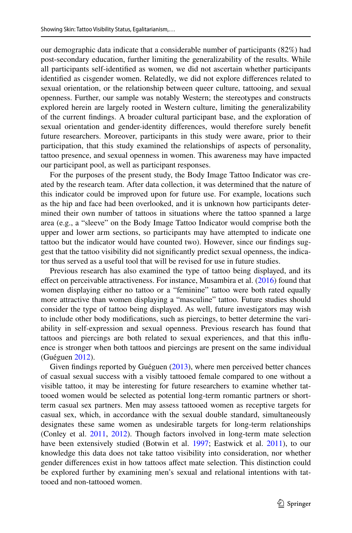our demographic data indicate that a considerable number of participants (82%) had post-secondary education, further limiting the generalizability of the results. While all participants self-identified as women, we did not ascertain whether participants identified as cisgender women. Relatedly, we did not explore differences related to sexual orientation, or the relationship between queer culture, tattooing, and sexual openness. Further, our sample was notably Western; the stereotypes and constructs explored herein are largely rooted in Western culture, limiting the generalizability of the current findings. A broader cultural participant base, and the exploration of sexual orientation and gender-identity differences, would therefore surely benefit future researchers. Moreover, participants in this study were aware, prior to their participation, that this study examined the relationships of aspects of personality, tattoo presence, and sexual openness in women. This awareness may have impacted our participant pool, as well as participant responses.

For the purposes of the present study, the Body Image Tattoo Indicator was created by the research team. After data collection, it was determined that the nature of this indicator could be improved upon for future use. For example, locations such as the hip and face had been overlooked, and it is unknown how participants determined their own number of tattoos in situations where the tattoo spanned a large area (e.g., a "sleeve" on the Body Image Tattoo Indicator would comprise both the upper and lower arm sections, so participants may have attempted to indicate one tattoo but the indicator would have counted two). However, since our findings suggest that the tattoo visibility did not significantly predict sexual openness, the indicator thus served as a useful tool that will be revised for use in future studies.

Previous research has also examined the type of tattoo being displayed, and its effect on perceivable attractiveness. For instance, Musambira et al. [\(2016](#page-19-22)) found that women displaying either no tattoo or a "feminine" tattoo were both rated equally more attractive than women displaying a "masculine" tattoo. Future studies should consider the type of tattoo being displayed. As well, future investigators may wish to include other body modifications, such as piercings, to better determine the variability in self-expression and sexual openness. Previous research has found that tattoos and piercings are both related to sexual experiences, and that this influence is stronger when both tattoos and piercings are present on the same individual (Guéguen [2012\)](#page-19-0).

Given findings reported by Guéguen ([2013\)](#page-19-9), where men perceived better chances of casual sexual success with a visibly tattooed female compared to one without a visible tattoo, it may be interesting for future researchers to examine whether tattooed women would be selected as potential long-term romantic partners or shortterm casual sex partners. Men may assess tattooed women as receptive targets for casual sex, which, in accordance with the sexual double standard, simultaneously designates these same women as undesirable targets for long-term relationships (Conley et al. [2011](#page-18-19), [2012](#page-18-20)). Though factors involved in long-term mate selection have been extensively studied (Botwin et al. [1997;](#page-18-9) Eastwick et al. [2011](#page-18-21)), to our knowledge this data does not take tattoo visibility into consideration, nor whether gender differences exist in how tattoos affect mate selection. This distinction could be explored further by examining men's sexual and relational intentions with tattooed and non-tattooed women.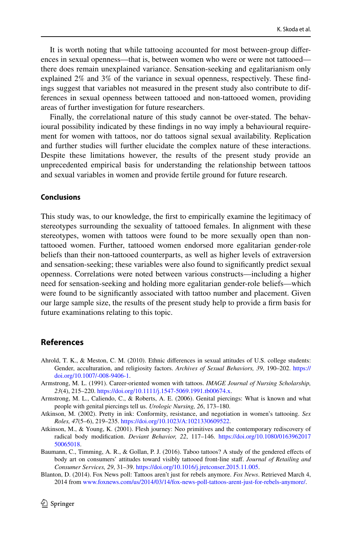It is worth noting that while tattooing accounted for most between-group differences in sexual openness—that is, between women who were or were not tattooed there does remain unexplained variance. Sensation-seeking and egalitarianism only explained 2% and 3% of the variance in sexual openness, respectively. These findings suggest that variables not measured in the present study also contribute to differences in sexual openness between tattooed and non-tattooed women, providing areas of further investigation for future researchers.

Finally, the correlational nature of this study cannot be over-stated. The behavioural possibility indicated by these findings in no way imply a behavioural requirement for women with tattoos, nor do tattoos signal sexual availability. Replication and further studies will further elucidate the complex nature of these interactions. Despite these limitations however, the results of the present study provide an unprecedented empirical basis for understanding the relationship between tattoos and sexual variables in women and provide fertile ground for future research.

#### **Conclusions**

This study was, to our knowledge, the first to empirically examine the legitimacy of stereotypes surrounding the sexuality of tattooed females. In alignment with these stereotypes, women with tattoos were found to be more sexually open than nontattooed women. Further, tattooed women endorsed more egalitarian gender-role beliefs than their non-tattooed counterparts, as well as higher levels of extraversion and sensation-seeking; these variables were also found to significantly predict sexual openness. Correlations were noted between various constructs—including a higher need for sensation-seeking and holding more egalitarian gender-role beliefs—which were found to be significantly associated with tattoo number and placement. Given our large sample size, the results of the present study help to provide a firm basis for future examinations relating to this topic.

#### **References**

- <span id="page-17-6"></span>Ahrold, T. K., & Meston, C. M. (2010). Ethnic differences in sexual attitudes of U.S. college students: Gender, acculturation, and religiosity factors. *Archives of Sexual Behaviors, 39*, 190–202. [https ://](https://doi.org/10.1007/-008-9406-1) [doi.org/10.1007/-008-9406-1](https://doi.org/10.1007/-008-9406-1).
- <span id="page-17-3"></span>Armstrong, M. L. (1991). Career-oriented women with tattoos. *IMAGE Journal of Nursing Scholarship,* 23(4), 215–220. https://doi.org/10.1111/j.1547-5069.1991.tb00674.x.
- <span id="page-17-5"></span>Armstrong, M. L., Caliendo, C., & Roberts, A. E. (2006). Genital piercings: What is known and what people with genital piercings tell us. *Urologic Nursing, 26*, 173–180.
- <span id="page-17-4"></span>Atkinson, M. (2002). Pretty in ink: Conformity, resistance, and negotiation in women's tattooing. *Sex Roles,* 47(5-6), 219-235. https://doi.org/10.1023/A:1021330609522.
- <span id="page-17-1"></span>Atkinson, M., & Young, K. (2001). Flesh journey: Neo primitives and the contemporary rediscovery of radical body modification. *Deviant Behavior*, 22, 117-146. https://doi.org/10.1080/0163962017 50065018.
- <span id="page-17-2"></span>Baumann, C., Timming, A. R., & Gollan, P. J. (2016). Taboo tattoos? A study of the gendered effects of body art on consumers' attitudes toward visibly tattooed front-line staff. *Journal of Retailing and Consumer Services, 29, 31–39. https://doi.org/10.1016/j.jretconser.2015.11.005.*
- <span id="page-17-0"></span>Blanton, D. (2014). Fox News poll: Tattoos aren't just for rebels anymore. *Fox News*. Retrieved March 4, 2014 from www.foxnews.com/us/2014/03/14/fox-news-poll-tattoos-arent-just-for-rebels-anymore/.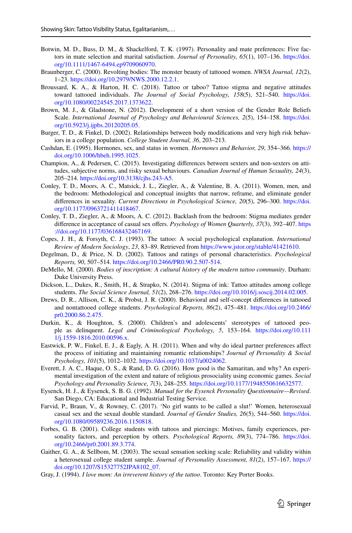- <span id="page-18-9"></span>Botwin, M. D., Buss, D. M., & Shackelford, T. K. (1997). Personality and mate preferences: Five factors in mate selection and marital satisfaction. *Journal of Personality, 65*(1), 107–136. [https ://doi.](https://doi.org/10.1111/1467-6494.ep9709060970) org/10.1111/1467-6494.ep9709060970.
- <span id="page-18-5"></span>Braunberger, C. (2000). Revolting bodies: The monster beauty of tattooed women. *NWSA Journal, 12*(2), 1–23. [https ://doi.org/10.2979/NWS.2000.12.2.1](https://doi.org/10.2979/NWS.2000.12.2.1).
- <span id="page-18-1"></span>Broussard, K. A., & Harton, H. C. (2018). Tattoo or taboo? Tattoo stigma and negative attitudes toward tattooed individuals. *The Journal of Social Psychology, 158*(5), 521–540. [https ://doi.](https://doi.org/10.1080/00224545.2017.1373622) org/10.1080/00224545.2017.1373622.
- <span id="page-18-17"></span>Brown, M. J., & Gladstone, N. (2012). Development of a short version of the Gender Role Beliefs Scale. *International Journal of Psychology and Behavioural Sciences, 2*(5), 154–158. [https ://doi.](https://doi.org/10.5923/j.ijpbs.20120205.05) org/10.5923/j.ijpbs.20120205.05.
- <span id="page-18-13"></span>Burger, T. D., & Finkel, D. (2002). Relationships between body modifications and very high risk behaviors in a college population. *College Student Journal, 36*, 203–213.
- <span id="page-18-8"></span>Cashdan, E. (1995). Hormones, sex, and status in women. *Hormones and Behavior, 29*, 354–366. [https ://](https://doi.org/10.1006/hbeh.1995.1025) [doi.org/10.1006/hbeh.1995.1025.](https://doi.org/10.1006/hbeh.1995.1025)
- <span id="page-18-16"></span>Champion, A., & Pedersen, C. (2015). Investigating differences between sexters and non-sexters on attitudes, subjective norms, and risky sexual behaviours. *Canadian Journal of Human Sexuality, 24*(3), 205–214. [https ://doi.org/10.3138/cjhs.243-A5.](https://doi.org/10.3138/cjhs.243-A5)
- <span id="page-18-19"></span>Conley, T. D., Moors, A. C., Matsick, J. L., Ziegler, A., & Valentine, B. A. (2011). Women, men, and the bedroom: Methodological and conceptual insights that narrow, reframe, and eliminate gender differences in sexuality. *Current Directions in Psychological Science, 20*(5), 296–300. [https ://doi.](https://doi.org/10.1177/0963721411418467) org/10.1177/0963721411418467.
- <span id="page-18-20"></span>Conley, T. D., Ziegler, A., & Moors, A. C. (2012). Backlash from the bedroom: Stigma mediates gender difference in acceptance of casual sex offers. *Psychology of Women Quarterly, 37*(3), 392–407. [https](https://doi.org/10.1177/036168432467169) ://doi.org/10.1177/036168432467169.
- <span id="page-18-10"></span>Copes, J. H., & Forsyth, C. J. (1993). The tattoo: A social psychological explanation. *International Review of Modern Sociology, 23, 83–89. Retrieved from https://www.jstor.org/stable/41421610.*
- <span id="page-18-6"></span>Degelman, D., & Price, N. D. (2002). Tattoos and ratings of personal characteristics. *Psychological Reports, 90*, 507–514. [https ://doi.org/10.2466/PR0.90.2.507-514.](https://doi.org/10.2466/PR0.90.2.507-514)
- <span id="page-18-3"></span>DeMello, M. (2000). *Bodies of inscription: A cultural history of the modern tattoo community*. Durham: Duke University Press.
- <span id="page-18-0"></span>Dickson, L., Dukes, R., Smith, H., & Strapko, N. (2014). Stigma of ink: Tattoo attitudes among college students. *The Social Science Journal, 51*(2), 268–276. [https ://doi.org/10.1016/j.sosci j.2014.02.005.](https://doi.org/10.1016/j.soscij.2014.02.005)
- <span id="page-18-11"></span>Drews, D. R., Allison, C. K., & Probst, J. R. (2000). Behavioral and self-concept differences in tattooed and nontattooed college students. *Psychological Reports, 86*(2), 475–481. [https ://doi.org/10.2466/](https://doi.org/10.2466/pr0.2000.86.2.475) [pr0.2000.86.2.475.](https://doi.org/10.2466/pr0.2000.86.2.475)
- <span id="page-18-2"></span>Durkin, K., & Houghton, S. (2000). Children's and adolescents' stereotypes of tattooed people as delinquent. *Legal and Criminological Psychology, 5*, 153–164. [https ://doi.org/10.111](https://doi.org/10.1111/j.1559-1816.2010.00596.x) 1/j.1559-1816.2010.00596.x.
- <span id="page-18-21"></span>Eastwick, P. W., Finkel, E. J., & Eagly, A. H. (2011). When and why do ideal partner preferences affect the process of initiating and maintaining romantic relationships? *Journal of Personality & Social Psychology, 101*(5), 1012–1032. https://doi.org/10.1037/a0024062.
- <span id="page-18-14"></span>Everett, J. A. C., Haque, O. S., & Rand, D. G. (2016). How good is the Samaritan, and why? An experimental investigation of the extent and nature of religious prosociality using economic games. *Social Psychology and Personality Science, 7*(3), 248–255. [https ://doi.org/10.1177/19485 50616 63257 7](https://doi.org/10.1177/1948550616632577).
- <span id="page-18-15"></span>Eysenck, H. J., & Eysenck, S. B. G. (1992). *Manual for the Eysenck Personality Questionnaire—Revised*. San Diego, CA: Educational and Industrial Testing Service.
- <span id="page-18-7"></span>Farvid, P., Braun, V., & Rowney, C. (2017). 'No girl wants to be called a slut!' Women, heterosexual casual sex and the sexual double standard. *Journal of Gender Studies, 26*(5), 544–560. [https ://doi.](https://doi.org/10.1080/09589236.2016.1150818) org/10.1080/09589236.2016.1150818.
- <span id="page-18-12"></span>Forbes, G. B. (2001). College students with tattoos and piercings: Motives, family experiences, personality factors, and perception by others. *Psychological Reports, 89*(3), 774–786. [https ://doi.](https://doi.org/10.2466/pr0.2001.89.3.774) [org/10.2466/pr0.2001.89.3.774.](https://doi.org/10.2466/pr0.2001.89.3.774)
- <span id="page-18-18"></span>Gaither, G. A., & Sellbom, M. (2003). The sexual sensation seeking scale: Reliability and validity within a heterosexual college student sample. *Journal of Personality Assessment, 81*(2), 157–167. [https ://](https://doi.org/10.1207/S15327752JPA8102_07) doi.org/10.1207/S15327752JPA8102\_07.
- <span id="page-18-4"></span>Gray, J. (1994). *I love mom: An irreverent history of the tattoo*. Toronto: Key Porter Books.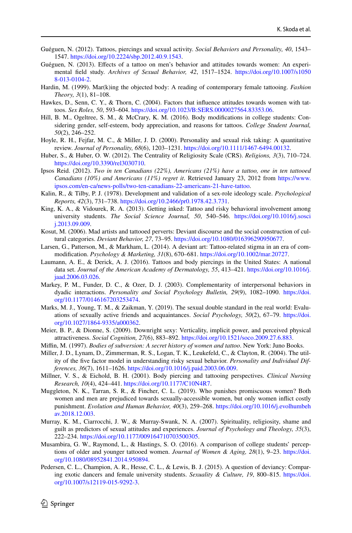- <span id="page-19-0"></span>Guéguen, N. (2012). Tattoos, piercings and sexual activity. *Social Behaviors and Personality, 40*, 1543– 1547. [https ://doi.org/10.2224/sbp.2012.40.9.1543.](https://doi.org/10.2224/sbp.2012.40.9.1543)
- <span id="page-19-9"></span>Guéguen, N. (2013). Effects of a tattoo on men's behavior and attitudes towards women: An experimental field study. *Archives of Sexual Behavior, 42*, 1517–1524. [https ://doi.org/10.1007/s1050](https://doi.org/10.1007/s10508-013-0104-2) [8-013-0104-2](https://doi.org/10.1007/s10508-013-0104-2).
- <span id="page-19-12"></span>Hardin, M. (1999). Mar(k)ing the objected body: A reading of contemporary female tattooing. *Fashion Theory, 3*(1), 81–108.
- <span id="page-19-6"></span>Hawkes, D., Senn, C. Y., & Thorn, C. (2004). Factors that influence attitudes towards women with tattoos. *Sex Roles, 50*, 593–604. [https ://doi.org/10.1023/B:SERS.00000 27564 .83353 .06](https://doi.org/10.1023/B:SERS.0000027564.83353.06).
- <span id="page-19-3"></span>Hill, B. M., Ogeltree, S. M., & McCrary, K. M. (2016). Body modifications in college students: Considering gender, self-esteem, body appreciation, and reasons for tattoos. *College Student Journal, 50*(2), 246–252.
- <span id="page-19-14"></span>Hoyle, R. H., Fejfar, M. C., & Miller, J. D. (2000). Personality and sexual risk taking: A quantitative review. *Journal of Personality, 68*(6), 1203–1231. [https ://doi.org/10.1111/1467-6494.00132 .](https://doi.org/10.1111/1467-6494.00132)
- <span id="page-19-17"></span>Huber, S., & Huber, O. W. (2012). The Centrality of Religiosity Scale (CRS). *Religions, 3*(3), 710–724. https://doi.org/10.3390/rel3030710.
- <span id="page-19-1"></span>Ipsos Reid. (2012). *Two in ten Canadians (22%), Americans (21%) have a tattoo, one in ten tattooed Canadians (10%) and Americans (11%) regret it*. Retrieved January 23, 2012 from [https ://www.](https://www.ipsos.com/en-ca/news-polls/two-ten-canadians-22-americans-21-have-tattoo) ipsos.com/en-ca/news-polls/two-ten-canadians-22-americans-21-have-tattoo.
- <span id="page-19-20"></span>Kalin, R., & Tilby, P. J. (1978). Development and validation of a sex-role ideology scale. *Psychological Reports, 42*(3), 731–738. [https ://doi.org/10.2466/pr0.1978.42.3.731](https://doi.org/10.2466/pr0.1978.42.3.731).
- <span id="page-19-8"></span>King, K. A., & Vidourek, R. A. (2013). Getting inked: Tattoo and risky behavioral involvement among university students. *The Social Science Journal, 50*, 540–546. [https ://doi.org/10.1016/j.sosci](https://doi.org/10.1016/j.soscij.2013.09.009) [j.2013.09.009](https://doi.org/10.1016/j.soscij.2013.09.009).
- <span id="page-19-5"></span>Kosut, M. (2006). Mad artists and tattooed perverts: Deviant discourse and the social construction of cultural categories. *Deviant Behavior*, 27, 73-95. https://doi.org/10.1080/016396290950677.
- <span id="page-19-4"></span>Larsen, G., Patterson, M., & Markham, L. (2014). A deviant art: Tattoo-related stigma in an era of commodification. *Psychology & Marketing, 31*(8), 670–681. [https ://doi.org/10.1002/mar.20727](https://doi.org/10.1002/mar.20727) .
- <span id="page-19-2"></span>Laumann, A. E., & Derick, A. J. (2016). Tattoos and body piercings in the United States: A national data set. *Journal of the American Academy of Dermatology, 55*, 413–421. [https ://doi.org/10.1016/j.](https://doi.org/10.1016/j.jaad.2006.03.026) [jaad.2006.03.026](https://doi.org/10.1016/j.jaad.2006.03.026).
- <span id="page-19-15"></span>Markey, P. M., Funder, D. C., & Ozer, D. J. (2003). Complementarity of interpersonal behaviors in dyadic interactions. *Personality and Social Psychology Bulletin*, 29(9), 1082-1090. https://doi. org/10.1177/0146167203253474.
- <span id="page-19-10"></span>Marks, M. J., Young, T. M., & Zaikman, Y. (2019). The sexual double standard in the real world: Evaluations of sexually active friends and acquaintances. *Social Psychology, 50*(2), 67–79. [https ://doi.](https://doi.org/10.1027/1864-9335/a000362) org/10.1027/1864-9335/a000362.
- <span id="page-19-13"></span>Meier, B. P., & Dionne, S. (2009). Downright sexy: Verticality, implicit power, and perceived physical attractiveness. *Social Cognition, 27*(6), 883–892. [https ://doi.org/10.1521/soco.2009.27.6.883.](https://doi.org/10.1521/soco.2009.27.6.883)
- <span id="page-19-7"></span>Miffin, M. (1997). *Bodies of subversion: A secret history of women and tattoo*. New York: Juno Books.
- <span id="page-19-16"></span>Miller, J. D., Lynam, D., Zimmerman, R. S., Logan, T. K., Leukefeld, C., & Clayton, R. (2004). The utility of the five factor model in understanding risky sexual behavior. *Personality and Individual Differences, 36*(7), 1611–1626. [https ://doi.org/10.1016/j.paid.2003.06.009](https://doi.org/10.1016/j.paid.2003.06.009).
- <span id="page-19-21"></span>Millner, V. S., & Eichold, B. H. (2001). Body piercing and tattooing perspectives. *Clinical Nursing Research, 10*(4), 424–441. https://doi.org/10.1177/C10N4R7.
- <span id="page-19-11"></span>Muggleton, N. K., Tarran, S. R., & Fincher, C. L. (2019). Who punishes promiscuous women? Both women and men are prejudiced towards sexually-accessible women, but only women inflict costly punishment. *Evolution and Human Behavior*, 40(3), 259–268. https://doi.org/10.1016/j.evolhumbeh [av.2018.12.003.](https://doi.org/10.1016/j.evolhumbehav.2018.12.003)
- <span id="page-19-19"></span>Murray, K. M., Ciarrocchi, J. W., & Murray-Swank, N. A. (2007). Spirituality, religiosity, shame and guilt as predictors of sexual attitudes and experiences. *Journal of Psychology and Theology, 35*(3), 222–234. https://doi.org/10.1177/009164710703500305.
- <span id="page-19-22"></span>Musambira, G. W., Raymond, L., & Hastings, S. O. (2016). A comparison of college students' perceptions of older and younger tattooed women. *Journal of Women & Aging, 28*(1), 9–23. [https ://doi.](https://doi.org/10.1080/08952841.2014.950894) org/10.1080/08952841.2014.950894.
- <span id="page-19-18"></span>Pedersen, C. L., Champion, A. R., Hesse, C. L., & Lewis, B. J. (2015). A question of deviancy: Comparing exotic dancers and female university students. *Sexuality & Culture, 19*, 800–815. [https ://doi.](https://doi.org/10.1007/s12119-015-9292-3) org/10.1007/s12119-015-9292-3.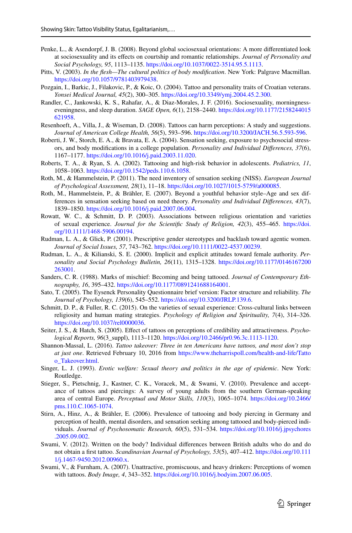- <span id="page-20-16"></span>Penke, L., & Asendorpf, J. B. (2008). Beyond global sociosexual orientations: A more differentiated look at sociosexuality and its effects on courtship and romantic relationships. *Journal of Personality and Social Psychology, 95*, 1113–1135. [https ://doi.org/10.1037/0022-3514.95.5.1113.](https://doi.org/10.1037/0022-3514.95.5.1113)
- <span id="page-20-4"></span>Pitts, V. (2003). *In the flesh—The cultural politics of body modification*. New York: Palgrave Macmillan. https://doi.org/10.1057/9781403979438.
- <span id="page-20-10"></span>Pozgain, I., Barkic, J., Filakovic, P., & Koic, O. (2004). Tattoo and personality traits of Croatian veterans. *Yonsei Medical Journal, 45*(2), 300–305. [https ://doi.org/10.3349/ymj.2004.45.2.300](https://doi.org/10.3349/ymj.2004.45.2.300).
- <span id="page-20-17"></span>Randler, C., Jankowski, K. S., Rahafar, A., & Diaz-Morales, J. F. (2016). Sociosexuality, morningnesseveningness, and sleep duration. *SAGE Open, 6*(1), 2158–2440. [https ://doi.org/10.1177/21582 44015](https://doi.org/10.1177/2158244015621958) 621958.
- <span id="page-20-8"></span>Resenhoeft, A., Villa, J., & Wiseman, D. (2008). Tattoos can harm perceptions: A study and suggestions. *Journal of American College Health, 56*(5), 593–596. [https ://doi.org/10.3200/JACH.56.5.593-596.](https://doi.org/10.3200/JACH.56.5.593-596)
- <span id="page-20-11"></span>Roberti, J. W., Storch, E. A., & Bravata, E. A. (2004). Sensation seeking, exposure to psychosocial stressors, and body modifications in a college population. *Personality and Individual Differences, 37*(6), 1167–1177. [https ://doi.org/10.1016/j.paid.2003.11.020](https://doi.org/10.1016/j.paid.2003.11.020).
- <span id="page-20-21"></span>Roberts, T. A., & Ryan, S. A. (2002). Tattooing and high-risk behavior in adolescents. *Pediatrics, 11*, 1058–1063. [https ://doi.org/10.1542/peds.110.6.1058](https://doi.org/10.1542/peds.110.6.1058).
- <span id="page-20-19"></span>Roth, M., & Hammelstein, P. (2011). The need inventory of sensation seeking (NISS). *European Journal of Psychological Assessment, 28*(1), 11–18. [https ://doi.org/10.1027/1015-5759/a0000 85](https://doi.org/10.1027/1015-5759/a000085).
- <span id="page-20-20"></span>Roth, M., Hammelstein, P., & Brähler, E. (2007). Beyond a youthful behavior style–Age and sex differences in sensation seeking based on need theory. *Personality and Individual Differences, 43*(7), 1839–1850. [https ://doi.org/10.1016/j.paid.2007.06.004](https://doi.org/10.1016/j.paid.2007.06.004).
- <span id="page-20-14"></span>Rowatt, W. C., & Schmitt, D. P. (2003). Associations between religious orientation and varieties of sexual experience. *Journal for the Scientific Study of Religion, 42*(3), 455–465. [https ://doi.](https://doi.org/10.1111/1468-5906.00194) org/10.1111/1468-5906.00194.
- <span id="page-20-6"></span>Rudman, L. A., & Glick, P. (2001). Prescriptive gender stereotypes and backlash toward agentic women. *Journal of Social Issues, 57*, 743–762. [https ://doi.org/10.1111/0022-4537.00239 .](https://doi.org/10.1111/0022-4537.00239)
- <span id="page-20-7"></span>Rudman, L. A., & Kilianski, S. E. (2000). Implicit and explicit attitudes toward female authority. *Personality and Social Psychology Bulletin, 26*(11), 1315–1328. [https ://doi.org/10.1177/01461 67200](https://doi.org/10.1177/0146167200263001) 263001.
- <span id="page-20-3"></span>Sanders, C. R. (1988). Marks of mischief: Becoming and being tattooed. *Journal of Contemporary Ethnography, 16*, 395–432. [https ://doi.org/10.1177/08912 41688 16400 1.](https://doi.org/10.1177/0891241688164001)
- <span id="page-20-18"></span>Sato, T. (2005). The Eysenck Personality Questionnaire brief version: Factor structure and reliability. *The Journal of Psychology, 139*(6), 545–552. [https ://doi.org/10.3200/JRLP.139.6.](https://doi.org/10.3200/JRLP.139.6)
- <span id="page-20-15"></span>Schmitt, D. P., & Fuller, R. C. (2015). On the varieties of sexual experience: Cross-cultural links between religiosity and human mating strategies. *Psychology of Religion and Spirituality, 7*(4), 314–326. https://doi.org/10.1037/rel0000036.
- <span id="page-20-2"></span>Seiter, J. S., & Hatch, S. (2005). Effect of tattoos on perceptions of credibility and attractiveness. *Psychological Reports, 96*(3\_suppl), 1113–1120. [https ://doi.org/10.2466/pr0.96.3c.1113-1120](https://doi.org/10.2466/pr0.96.3c.1113-1120).
- <span id="page-20-1"></span>Shannon-Massal, L. (2016). *Tattoo takeover: Three in ten Americans have tattoos, and most don't stop at just one*. Retrieved February 10, 2016 from https://www.theharrispoll.com/health-and-life/Tatto [o\\_Takeo ver.html.](http://www.theharrispoll.com/health-and-life/Tattoo_Takeover.html)
- <span id="page-20-9"></span>Singer, L. J. (1993). *Erotic welfare: Sexual theory and politics in the age of epidemic*. New York: Routledge.
- <span id="page-20-5"></span>Stieger, S., Pietschnig, J., Kastner, C. K., Voracek, M., & Swami, V. (2010). Prevalence and acceptance of tattoos and piercings: A survey of young adults from the southern German-speaking area of central Europe. *Perceptual and Motor Skills, 110*(3), 1065–1074. [https ://doi.org/10.2466/](https://doi.org/10.2466/pms.110.C.1065-1074) [pms.110.C.1065-1074](https://doi.org/10.2466/pms.110.C.1065-1074).
- <span id="page-20-12"></span>Stirn, A., Hinz, A., & Brähler, E. (2006). Prevalence of tattooing and body piercing in Germany and perception of health, mental disorders, and sensation seeking among tattooed and body-pierced individuals. *Journal of Psychosomatic Research*,  $60(5)$ , 531–534. https://doi.org/10.1016/j.jpsychores [.2005.09.002](https://doi.org/10.1016/j.jpsychores.2005.09.002).
- <span id="page-20-13"></span>Swami, V. (2012). Written on the body? Individual differences between British adults who do and do not obtain a first tattoo. *Scandinavian Journal of Psychology, 53*(5), 407–412. [https ://doi.org/10.111](https://doi.org/10.1111/j.1467-9450.2012.00960.x)  $1/j.1467-9450.2012.00960.x.$
- <span id="page-20-0"></span>Swami, V., & Furnham, A. (2007). Unattractive, promiscuous, and heavy drinkers: Perceptions of women with tattoos. *Body Image,* 4, 343-352. https://doi.org/10.1016/j.bodyim.2007.06.005.